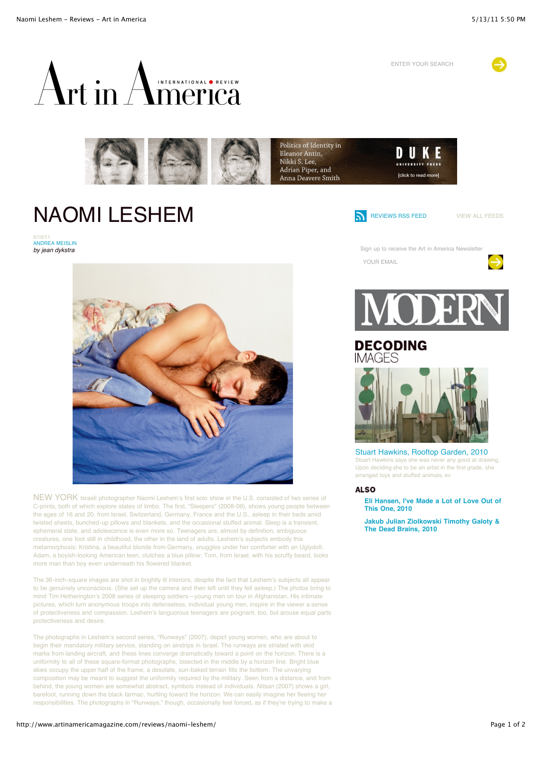ENTER YOUR SEARCH







## NAOMI LESHEM

5/10/11<br><mark>ANDREA MEISLIN</mark> *by jean dykstra*



Sign up to receive the Art in America Newsletter

YOUR EMAIL





NEW YORK Israeli photographer Naomi Leshem's first solo show in the U.S. consisted of two series of C-prints, both of which explore states of limbo. The first, "Sleepers" (2008-09), shows young people between the ages of 16 and 20, from Israel, Switzerland, Germany, France and the U.S., asleep in their beds amid twisted sheets, bunched-up pillows and blankets, and the occasional stuffed animal. Sleep is a transient, ephemeral state, and adolescence is even more so. Teenagers are, almost by definition, ambiguous creatures, one foot still in childhood, the other in the land of adults. Leshem's subjects embody this metamorphosis: Kristina, a beautiful blonde from Germany, snuggles under her comforter with an Uglydoll; Adam, a boyish-looking American teen, clutches a blue pillow; Tom, from Israel, with his scruffy beard, looks more man than boy even underneath his flowered blanket.

The 36-inch-square images are shot in brightly lit interiors, despite the fact that Leshem's subjects all appear to be genuinely unconscious. (She set up the camera and then left until they fell asleep.) The photos bring to mind Tim Hetherington's 2008 series of sleeping soldiers—young men on tour in Afghanistan. His intimate pictures, which turn anonymous troops into defenseless, individual young men, inspire in the viewer a sense of protectiveness and compassion. Leshem's languorous teenagers are poignant, too, but arouse equal parts protectiveness and desire.

The photographs in Leshem's second series, "Runways" (2007), depict young women, who are about to begin their mandatory military service, standing on airstrips in Israel. The runways are striated with skid marks from landing aircraft, and these lines converge dramatically toward a point on the horizon. There is a uniformity to all of these square-format photographs, bisected in the middle by a horizon line. Bright blue skies occupy the upper half of the frame; a desolate, sun-baked terrain fills the bottom. The unvarying composition may be meant to suggest the uniformity required by the military. Seen from a distance, and from behind, the young women are somewhat abstract, symbols instead of individuals. *Nitsan* (2007) shows a girl, barefoot, running down the black tarmac, hurtling toward the horizon. We can easily imagine her fleeing her responsibilities. The photographs in "Runways," though, occasionally feel forced, as if they're trying to make a



## **DECODING**



[Stuart Hawkins, Rooftop Garden, 2010](http://www.artinamericamagazine.com/decoding-images/stuart-hawkins-rooftop-garden-2010/) Stuart Hawkins says she was never any good at drawing. Upon deciding she to be an artist in the first grade, she arranged toys and stuffed animals, ev

## **ALSO**

**[Eli Hansen, I've Made a Lot of Love Out of](http://www.artinamericamagazine.com/decoding-images/eli-hansen-ive-made-a-lot-of-love-out-of-this-one-2010/) This One, 2010**

**[Jakub Julian Ziolkowski Timothy Galoty &](http://www.artinamericamagazine.com/decoding-images/jakub-julian-ziolkowski-timothy-galoty-the-dead-brains-2010/) The Dead Brains, 2010**